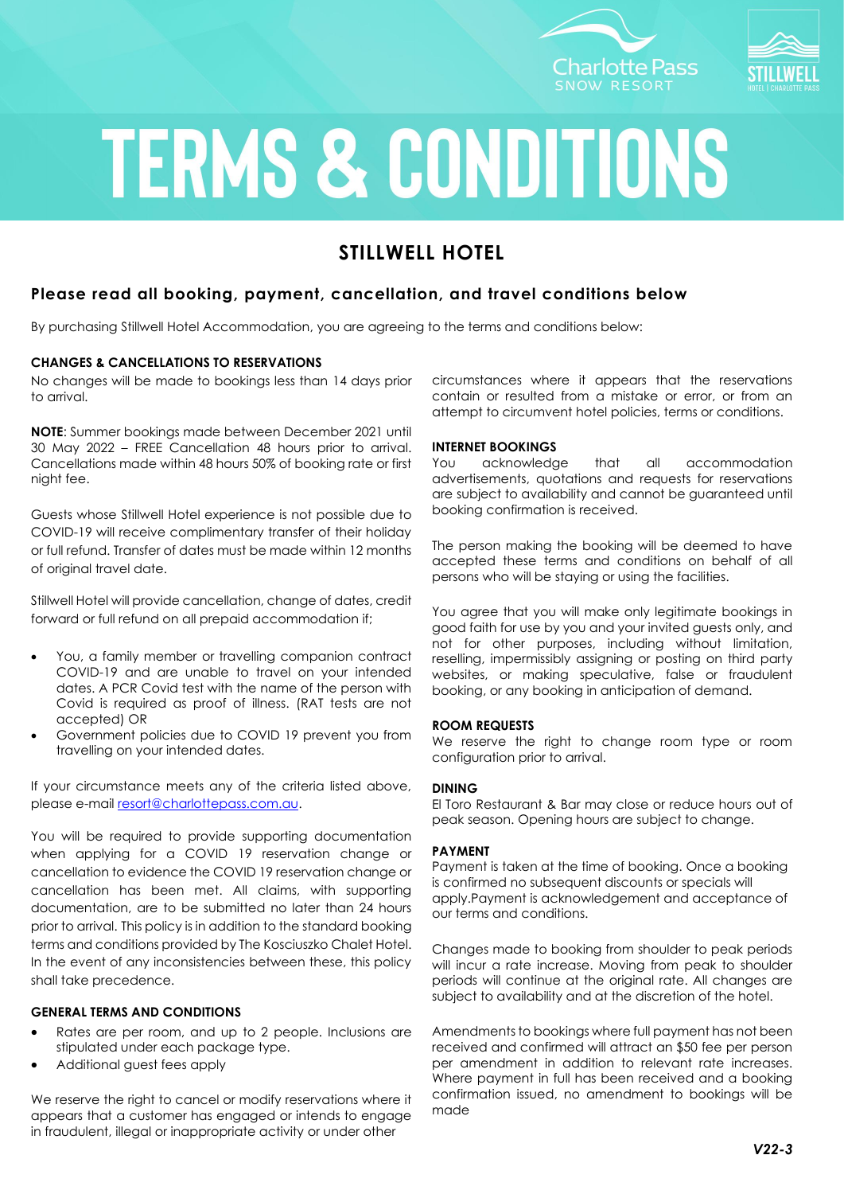



# **TERMS & CONDITIONS**

## **STILLWELL HOTEL**

### **Please read all booking, payment, cancellation, and travel conditions below**

By purchasing Stillwell Hotel Accommodation, you are agreeing to the terms and conditions below:

#### **CHANGES & CANCELLATIONS TO RESERVATIONS**

No changes will be made to bookings less than 14 days prior to arrival.

**NOTE**: Summer bookings made between December 2021 until 30 May 2022 – FREE Cancellation 48 hours prior to arrival. Cancellations made within 48 hours 50% of booking rate or first night fee.

Guests whose Stillwell Hotel experience is not possible due to COVID-19 will receive complimentary transfer of their holiday or full refund. Transfer of dates must be made within 12 months of original travel date.

Stillwell Hotel will provide cancellation, change of dates, credit forward or full refund on all prepaid accommodation if;

- You, a family member or travelling companion contract COVID-19 and are unable to travel on your intended dates. A PCR Covid test with the name of the person with Covid is required as proof of illness. (RAT tests are not accepted) OR
- Government policies due to COVID 19 prevent you from travelling on your intended dates.

If your circumstance meets any of the criteria listed above, please e-mail [resort@charlottepass.com.au.](mailto:resort@charlottepass.com.au)

You will be required to provide supporting documentation when applying for a COVID 19 reservation change or cancellation to evidence the COVID 19 reservation change or cancellation has been met. All claims, with supporting documentation, are to be submitted no later than 24 hours prior to arrival. This policy is in addition to the standard booking terms and conditions provided by The Kosciuszko Chalet Hotel. In the event of any inconsistencies between these, this policy shall take precedence.

#### **GENERAL TERMS AND CONDITIONS**

- Rates are per room, and up to 2 people. Inclusions are stipulated under each package type.
- Additional guest fees apply

We reserve the right to cancel or modify reservations where it appears that a customer has engaged or intends to engage in fraudulent, illegal or inappropriate activity or under other

circumstances where it appears that the reservations contain or resulted from a mistake or error, or from an attempt to circumvent hotel policies, terms or conditions.

#### **INTERNET BOOKINGS**

You acknowledge that all accommodation advertisements, quotations and requests for reservations are subject to availability and cannot be guaranteed until booking confirmation is received.

The person making the booking will be deemed to have accepted these terms and conditions on behalf of all persons who will be staying or using the facilities.

You agree that you will make only legitimate bookings in good faith for use by you and your invited guests only, and not for other purposes, including without limitation, reselling, impermissibly assigning or posting on third party websites, or making speculative, false or fraudulent booking, or any booking in anticipation of demand.

#### **ROOM REQUESTS**

We reserve the right to change room type or room configuration prior to arrival.

#### **DINING**

El Toro Restaurant & Bar may close or reduce hours out of peak season. Opening hours are subject to change.

#### **PAYMENT**

Payment is taken at the time of booking. Once a booking is confirmed no subsequent discounts or specials will apply.Payment is acknowledgement and acceptance of our terms and conditions.

Changes made to booking from shoulder to peak periods will incur a rate increase. Moving from peak to shoulder periods will continue at the original rate. All changes are subject to availability and at the discretion of the hotel.

Amendments to bookings where full payment has not been received and confirmed will attract an \$50 fee per person per amendment in addition to relevant rate increases. Where payment in full has been received and a booking confirmation issued, no amendment to bookings will be made